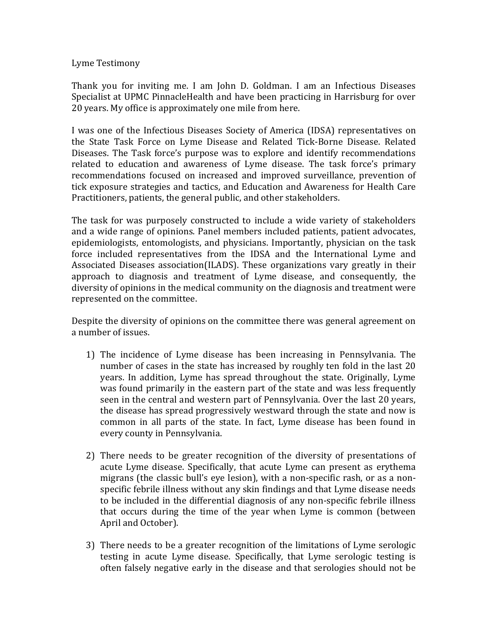## Lyme Testimony

Thank you for inviting me. I am John D. Goldman. I am an Infectious Diseases Specialist at UPMC PinnacleHealth and have been practicing in Harrisburg for over 20 years. My office is approximately one mile from here.

I was one of the Infectious Diseases Society of America (IDSA) representatives on the State Task Force on Lyme Disease and Related Tick-Borne Disease. Related Diseases. The Task force's purpose was to explore and identify recommendations related to education and awareness of Lyme disease. The task force's primary recommendations focused on increased and improved surveillance, prevention of tick exposure strategies and tactics, and Education and Awareness for Health Care Practitioners, patients, the general public, and other stakeholders.

The task for was purposely constructed to include a wide variety of stakeholders and a wide range of opinions. Panel members included patients, patient advocates, epidemiologists, entomologists, and physicians. Importantly, physician on the task force included representatives from the IDSA and the International Lyme and Associated Diseases association(ILADS). These organizations vary greatly in their approach to diagnosis and treatment of Lyme disease, and consequently, the diversity of opinions in the medical community on the diagnosis and treatment were represented on the committee.

Despite the diversity of opinions on the committee there was general agreement on a number of issues.

- 1) The incidence of Lyme disease has been increasing in Pennsylvania. The number of cases in the state has increased by roughly ten fold in the last 20 years. In addition, Lyme has spread throughout the state. Originally, Lyme was found primarily in the eastern part of the state and was less frequently seen in the central and western part of Pennsylvania. Over the last 20 years, the disease has spread progressively westward through the state and now is common in all parts of the state. In fact, Lyme disease has been found in every county in Pennsylvania.
- 2) There needs to be greater recognition of the diversity of presentations of acute Lyme disease. Specifically, that acute Lyme can present as erythema migrans (the classic bull's eye lesion), with a non-specific rash, or as a nonspecific febrile illness without any skin findings and that Lyme disease needs to be included in the differential diagnosis of any non-specific febrile illness that occurs during the time of the year when Lyme is common (between April and October).
- 3) There needs to be a greater recognition of the limitations of Lyme serologic testing in acute Lyme disease. Specifically, that Lyme serologic testing is often falsely negative early in the disease and that serologies should not be